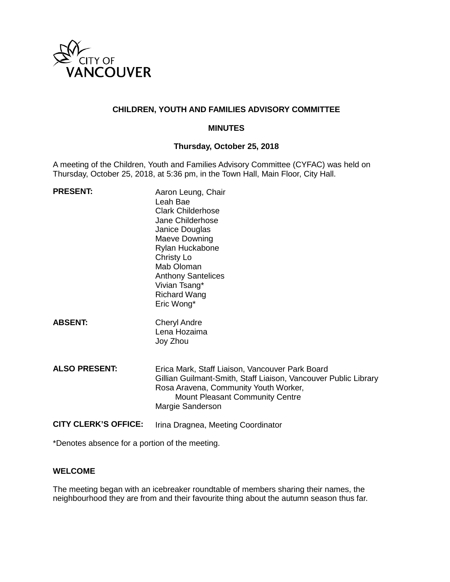

## **CHILDREN, YOUTH AND FAMILIES ADVISORY COMMITTEE**

#### **MINUTES**

### **Thursday, October 25, 2018**

A meeting of the Children, Youth and Families Advisory Committee (CYFAC) was held on Thursday, October 25, 2018, at 5:36 pm, in the Town Hall, Main Floor, City Hall.

| <b>PRESENT:</b>             | Aaron Leung, Chair<br>Leah Bae<br><b>Clark Childerhose</b><br>Jane Childerhose<br>Janice Douglas<br>Maeve Downing<br>Rylan Huckabone<br>Christy Lo<br>Mab Oloman<br><b>Anthony Santelices</b><br>Vivian Tsang*<br><b>Richard Wang</b><br>Eric Wong* |
|-----------------------------|-----------------------------------------------------------------------------------------------------------------------------------------------------------------------------------------------------------------------------------------------------|
| <b>ABSENT:</b>              | <b>Cheryl Andre</b><br>Lena Hozaima<br>Joy Zhou                                                                                                                                                                                                     |
| <b>ALSO PRESENT:</b>        | Erica Mark, Staff Liaison, Vancouver Park Board<br>Gillian Guilmant-Smith, Staff Liaison, Vancouver Public Library<br>Rosa Aravena, Community Youth Worker,<br>Mount Pleasant Community Centre<br>Margie Sanderson                                  |
| <b>CITY CLERK'S OFFICE:</b> | Irina Dragnea, Meeting Coordinator                                                                                                                                                                                                                  |

\*Denotes absence for a portion of the meeting.

#### **WELCOME**

The meeting began with an icebreaker roundtable of members sharing their names, the neighbourhood they are from and their favourite thing about the autumn season thus far.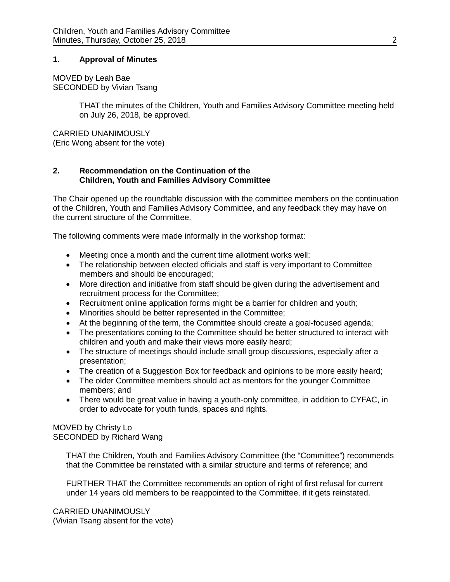#### **1. Approval of Minutes**

MOVED by Leah Bae SECONDED by Vivian Tsang

> THAT the minutes of the Children, Youth and Families Advisory Committee meeting held on July 26, 2018, be approved.

CARRIED UNANIMOUSLY (Eric Wong absent for the vote)

### **2. Recommendation on the Continuation of the Children, Youth and Families Advisory Committee**

The Chair opened up the roundtable discussion with the committee members on the continuation of the Children, Youth and Families Advisory Committee, and any feedback they may have on the current structure of the Committee.

The following comments were made informally in the workshop format:

- Meeting once a month and the current time allotment works well;
- The relationship between elected officials and staff is very important to Committee members and should be encouraged;
- More direction and initiative from staff should be given during the advertisement and recruitment process for the Committee;
- Recruitment online application forms might be a barrier for children and youth;
- Minorities should be better represented in the Committee;
- At the beginning of the term, the Committee should create a goal-focused agenda;
- The presentations coming to the Committee should be better structured to interact with children and youth and make their views more easily heard;
- The structure of meetings should include small group discussions, especially after a presentation;
- The creation of a Suggestion Box for feedback and opinions to be more easily heard;
- The older Committee members should act as mentors for the younger Committee members; and
- There would be great value in having a youth-only committee, in addition to CYFAC, in order to advocate for youth funds, spaces and rights.

# MOVED by Christy Lo SECONDED by Richard Wang

THAT the Children, Youth and Families Advisory Committee (the "Committee") recommends that the Committee be reinstated with a similar structure and terms of reference; and

FURTHER THAT the Committee recommends an option of right of first refusal for current under 14 years old members to be reappointed to the Committee, if it gets reinstated.

CARRIED UNANIMOUSLY (Vivian Tsang absent for the vote)